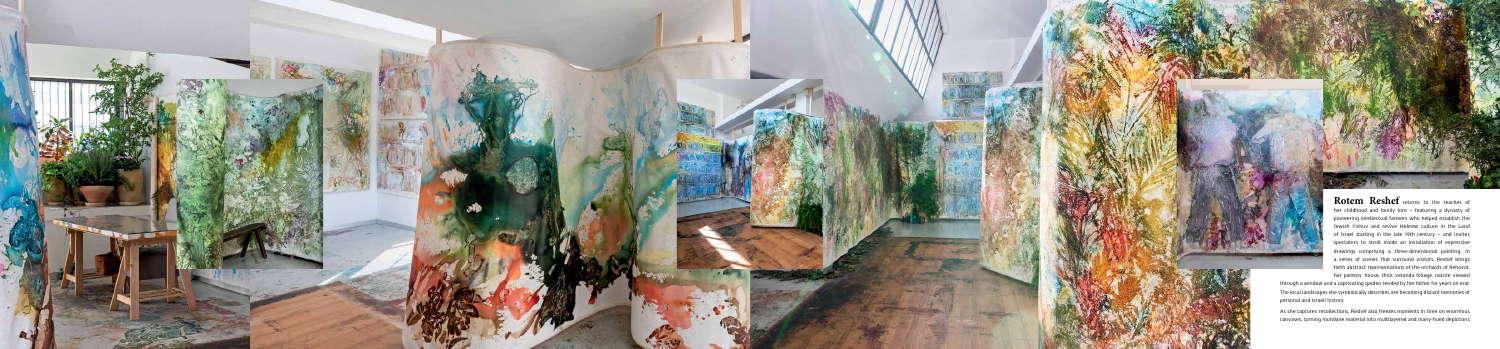



**Rotem Reshef** returns to the reaches of her childhood and family lore – featuring a dynasty of pioneering intellectual farmers who helped establish the Jewish Yishuv and revive Hebrew culture in the Land of Israel starting in the late 19th century  $-$  and invites spectators to stroll inside an installation of expressive drawings comprising a three-dimensional painting. In a series of scenes that surround visitors, Reshef brings forth abstract representations of the orchards of Rehovot, her parents' house, thick veranda foliage, nature viewed

through a window and a captivating garden tended by her father for years on end. The local landscapes she symbolically describes are becoming distant memories of personal and Israeli history.

As she captures recollections, Reshef also freezes moments in time on enormous canvases, turning mundane material into multilayered and many-hued depictions